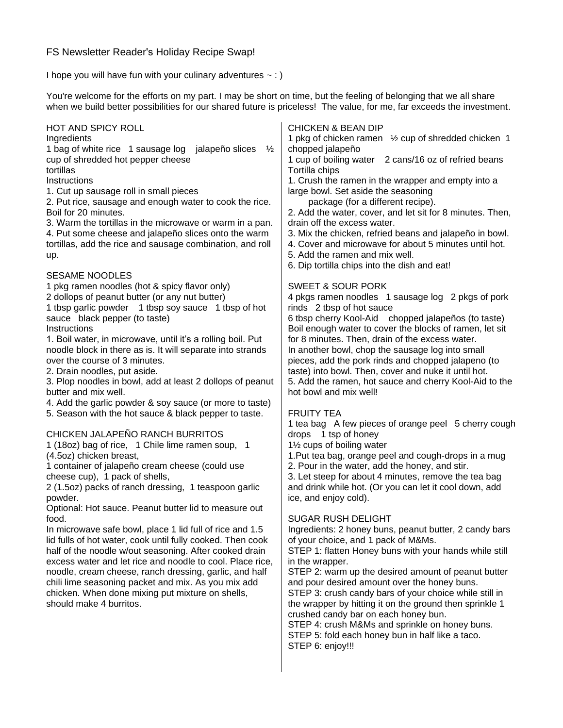# FS Newsletter Reader's Holiday Recipe Swap!

I hope you will have fun with your culinary adventures  $\sim$  : )

You're welcome for the efforts on my part. I may be short on time, but the feeling of belonging that we all share when we build better possibilities for our shared future is priceless! The value, for me, far exceeds the investment.

| HOT AND SPICY ROLL<br>Ingredients<br>1 bag of white rice 1 sausage log jalapeño slices<br>$\frac{1}{2}$<br>cup of shredded hot pepper cheese<br>tortillas<br>Instructions<br>1. Cut up sausage roll in small pieces<br>2. Put rice, sausage and enough water to cook the rice.<br>Boil for 20 minutes.<br>3. Warm the tortillas in the microwave or warm in a pan.<br>4. Put some cheese and jalapeño slices onto the warm<br>tortillas, add the rice and sausage combination, and roll<br>up.                                                                                 | <b>CHICKEN &amp; BEAN DIP</b><br>1 pkg of chicken ramen 1/2 cup of shredded chicken 1<br>chopped jalapeño<br>1 cup of boiling water 2 cans/16 oz of refried beans<br>Tortilla chips<br>1. Crush the ramen in the wrapper and empty into a<br>large bowl. Set aside the seasoning<br>package (for a different recipe).<br>2. Add the water, cover, and let sit for 8 minutes. Then,<br>drain off the excess water.<br>3. Mix the chicken, refried beans and jalapeño in bowl.<br>4. Cover and microwave for about 5 minutes until hot.<br>5. Add the ramen and mix well.<br>6. Dip tortilla chips into the dish and eat! |
|--------------------------------------------------------------------------------------------------------------------------------------------------------------------------------------------------------------------------------------------------------------------------------------------------------------------------------------------------------------------------------------------------------------------------------------------------------------------------------------------------------------------------------------------------------------------------------|-------------------------------------------------------------------------------------------------------------------------------------------------------------------------------------------------------------------------------------------------------------------------------------------------------------------------------------------------------------------------------------------------------------------------------------------------------------------------------------------------------------------------------------------------------------------------------------------------------------------------|
| <b>SESAME NOODLES</b><br>1 pkg ramen noodles (hot & spicy flavor only)<br>2 dollops of peanut butter (or any nut butter)<br>1 tbsp garlic powder 1 tbsp soy sauce 1 tbsp of hot<br>sauce black pepper (to taste)<br>Instructions<br>1. Boil water, in microwave, until it's a rolling boil. Put<br>noodle block in there as is. It will separate into strands<br>over the course of 3 minutes.<br>2. Drain noodles, put aside.<br>3. Plop noodles in bowl, add at least 2 dollops of peanut<br>butter and mix well.<br>4. Add the garlic powder & soy sauce (or more to taste) | <b>SWEET &amp; SOUR PORK</b><br>4 pkgs ramen noodles 1 sausage log 2 pkgs of pork<br>rinds 2 tbsp of hot sauce<br>6 tbsp cherry Kool-Aid chopped jalapeños (to taste)<br>Boil enough water to cover the blocks of ramen, let sit<br>for 8 minutes. Then, drain of the excess water.<br>In another bowl, chop the sausage log into small<br>pieces, add the pork rinds and chopped jalapeno (to<br>taste) into bowl. Then, cover and nuke it until hot.<br>5. Add the ramen, hot sauce and cherry Kool-Aid to the<br>hot bowl and mix well!                                                                              |
| 5. Season with the hot sauce & black pepper to taste.<br>CHICKEN JALAPEÑO RANCH BURRITOS<br>1 (18oz) bag of rice, 1 Chile lime ramen soup, 1<br>(4.5oz) chicken breast,<br>1 container of jalapeño cream cheese (could use<br>cheese cup), 1 pack of shells,<br>2 (1.5oz) packs of ranch dressing, 1 teaspoon garlic<br>powder.                                                                                                                                                                                                                                                | <b>FRUITY TEA</b><br>1 tea bag A few pieces of orange peel 5 cherry cough<br>drops 1 tsp of honey<br>11/2 cups of boiling water<br>1. Put tea bag, orange peel and cough-drops in a mug<br>2. Pour in the water, add the honey, and stir.<br>3. Let steep for about 4 minutes, remove the tea bag<br>and drink while hot. (Or you can let it cool down, add<br>ice, and enjoy cold).                                                                                                                                                                                                                                    |
| Optional: Hot sauce. Peanut butter lid to measure out<br>food.<br>In microwave safe bowl, place 1 lid full of rice and 1.5<br>lid fulls of hot water, cook until fully cooked. Then cook<br>half of the noodle w/out seasoning. After cooked drain<br>excess water and let rice and noodle to cool. Place rice,<br>noodle, cream cheese, ranch dressing, garlic, and half<br>chili lime seasoning packet and mix. As you mix add<br>chicken. When done mixing put mixture on shells,<br>should make 4 burritos.                                                                | <b>SUGAR RUSH DELIGHT</b><br>Ingredients: 2 honey buns, peanut butter, 2 candy bars<br>of your choice, and 1 pack of M&Ms.<br>STEP 1: flatten Honey buns with your hands while still<br>in the wrapper.<br>STEP 2: warm up the desired amount of peanut butter<br>and pour desired amount over the honey buns.<br>STEP 3: crush candy bars of your choice while still in<br>the wrapper by hitting it on the ground then sprinkle 1<br>crushed candy bar on each honey bun.<br>STEP 4: crush M&Ms and sprinkle on honey buns.<br>STEP 5: fold each honey bun in half like a taco.                                       |

STEP 6: enjoy!!!